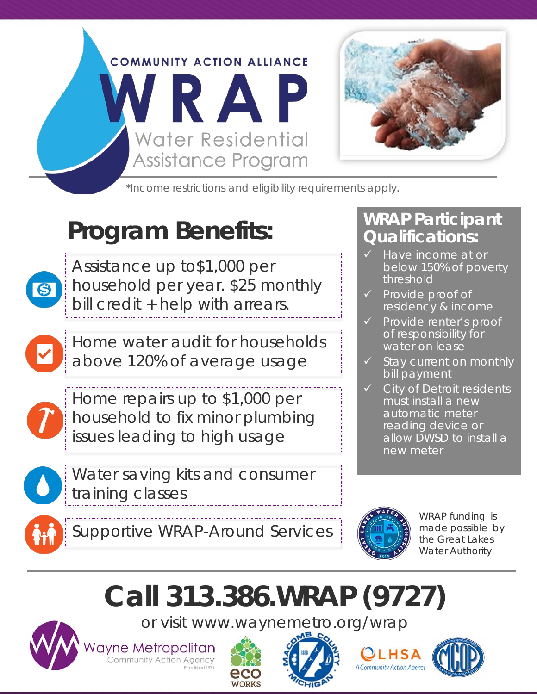

\*Income restrictions and eligibility requirements apply.

### **Program Benefits:**



Assistance up to\$1,000 per household per year. \$25 monthly bill credit + help with arrears.

Home water audit for households above 120% of average usage



Home repairs up to \$1,000 per household to fix minor plumbing issues leading to high usage



Water saving kits and consumer training classes

#### **WRAP Participant Qualifications:**

- Have income at or below 150% of poverty threshold
- $\checkmark$  Provide proof of residency & income
- $\checkmark$  Provide renter's proof of responsibility for water on lease
- $\checkmark$  Stay current on monthly bill payment
- $\checkmark$  City of Detroit residents must install a new automatic meter reading device or allow DWSD to install a new meter





WRAP funding is made possible by the Great Lakes Water Authority.

## **Call 313.386.WRAP (9727)**

or visit www.waynemetro.org/wrap



**ayne Metropolitan**<br>Community Action Agency